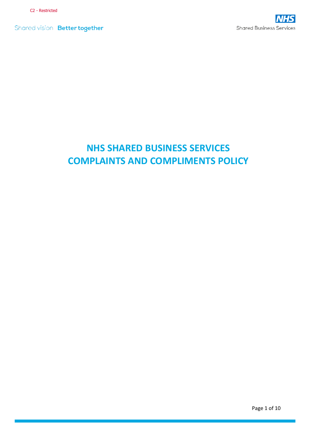Shared vision Better together

# **NHS SHARED BUSINESS SERVICES COMPLAINTS AND COMPLIMENTS POLICY**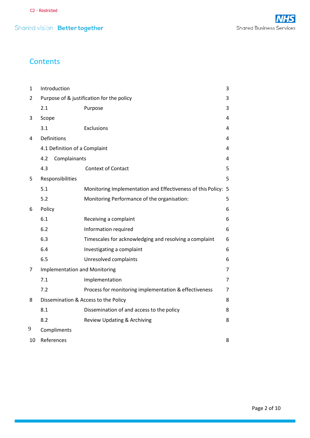## **Contents**

| 1  | Introduction                              |                                                               | 3 |
|----|-------------------------------------------|---------------------------------------------------------------|---|
| 2  | Purpose of & justification for the policy |                                                               |   |
|    | 2.1                                       | Purpose                                                       | 3 |
| 3  | Scope                                     |                                                               | 4 |
|    | 3.1                                       | Exclusions                                                    | 4 |
| 4  | Definitions                               |                                                               | 4 |
|    | 4.1 Definition of a Complaint             |                                                               | 4 |
|    | 4.2<br>Complainants<br>4                  |                                                               |   |
|    | 4.3                                       | <b>Context of Contact</b>                                     | 5 |
| 5  | 5<br>Responsibilities                     |                                                               |   |
|    | 5.1                                       | Monitoring Implementation and Effectiveness of this Policy: 5 |   |
|    | 5.2                                       | Monitoring Performance of the organisation:                   | 5 |
| 6  | Policy                                    |                                                               | 6 |
|    | 6.1                                       | Receiving a complaint                                         | 6 |
|    | 6.2                                       | Information required                                          | 6 |
|    | 6.3                                       | Timescales for acknowledging and resolving a complaint        | 6 |
|    | 6.4                                       | Investigating a complaint                                     | 6 |
|    | 6.5                                       | Unresolved complaints                                         | 6 |
| 7  | <b>Implementation and Monitoring</b><br>7 |                                                               |   |
|    | 7.1                                       | Implementation                                                | 7 |
|    | 7.2                                       | Process for monitoring implementation & effectiveness         | 7 |
| 8  | Dissemination & Access to the Policy<br>8 |                                                               |   |
|    | 8.1                                       | Dissemination of and access to the policy                     | 8 |
|    | 8.2                                       | Review Updating & Archiving                                   | 8 |
| 9  | Compliments                               |                                                               |   |
| 10 | References                                |                                                               | 8 |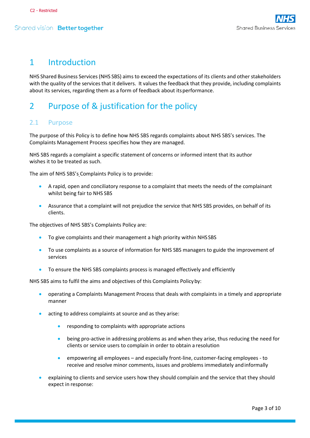## 1 Introduction

NHS Shared Business Services(NHS SBS) aims to exceed the expectations of its clients and other stakeholders with the quality of the services that it delivers. It values the feedback that they provide, including complaints about its services, regarding them as a form of feedback about itsperformance.

## 2 Purpose of & justification for the policy

#### 2.1 Purpose

The purpose of this Policy is to define how NHS SBS regards complaints about NHS SBS's services. The Complaints Management Process specifies how they are managed.

NHS SBS regards a complaint a specific statement of concerns or informed intent that its author wishes it to be treated as such.

The aim of NHS SBS's Complaints Policy is to provide:

- A rapid, open and conciliatory response to a complaint that meets the needs of the complainant whilst being fair to NHS SBS
- Assurance that a complaint will not prejudice the service that NHS SBS provides, on behalf of its clients.

The objectives of NHS SBS's Complaints Policy are:

- To give complaints and their management a high priority within NHS SBS
- To use complaints as a source of information for NHS SBS managers to guide the improvement of services
- To ensure the NHS SBS complaints process is managed effectively and efficiently

NHS SBS aims to fulfil the aims and objectives of this Complaints Policyby:

- operating a Complaints Management Process that deals with complaints in a timely and appropriate manner
- acting to address complaints at source and as they arise:
	- responding to complaints with appropriate actions
	- being pro-active in addressing problems as and when they arise, thus reducing the need for clients or service users to complain in order to obtain a resolution
	- empowering all employees and especially front-line, customer-facing employees to receive and resolve minor comments, issues and problems immediately andinformally
- explaining to clients and service users how they should complain and the service that they should expect in response: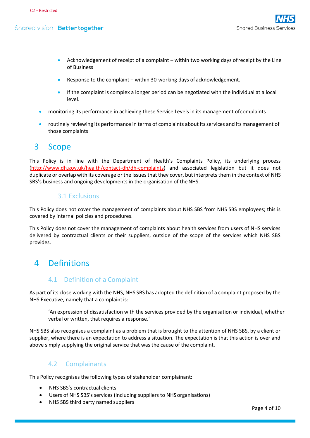- Acknowledgement of receipt of a complaint within two working days ofreceipt by the Line of Business
- Response to the complaint within 30-working days of acknowledgement.
- If the complaint is complex a longer period can be negotiated with the individual at a local level.
- monitoring its performance in achieving these Service Levels in its management ofcomplaints
- routinely reviewing its performance in terms of complaints about itsservices and its management of those complaints

### 3 Scope

This Policy is in line with the Department of Health's Complaints Policy, its underlying process [\(http://www.dh.gov.uk/health/contact-dh/dh-complaints\)](http://www.dh.gov.uk/health/contact-dh/dh-complaints)) and associated legislation but it does not duplicate or overlap with its coverage or the issues that they cover, but interprets them in the context of NHS SBS's business and ongoing developments in the organisation of the NHS.

#### 3.1 Exclusions

This Policy does not cover the management of complaints about NHS SBS from NHS SBS employees; this is covered by internal policies and procedures.

This Policy does not cover the management of complaints about health services from users of NHS services delivered by contractual clients or their suppliers, outside of the scope of the services which NHS SBS provides.

### 4 Definitions

#### 4.1 Definition of a Complaint

As part of its close working with the NHS, NHS SBS has adopted the definition of a complaint proposed by the NHS Executive, namely that a complaint is:

'An expression of dissatisfaction with the services provided by the organisation or individual, whether verbal or written, that requires a response.'

NHS SBS also recognises a complaint as a problem that is brought to the attention of NHS SBS, by a client or supplier, where there is an expectation to address a situation. The expectation is that this action is over and above simply supplying the original service that was the cause of the complaint.

### 4.2 Complainants

This Policy recognises the following types of stakeholder complainant:

- NHS SBS's contractual clients
- Users of NHS SBS's services (including suppliers to NHSorganisations)
- NHS SBS third party named suppliers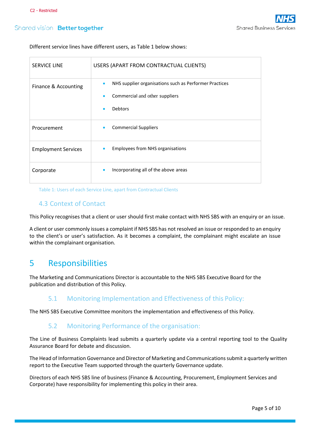Different service lines have different users, as Table 1 below shows:

| <b>SERVICE LINE</b>        | USERS (APART FROM CONTRACTUAL CLIENTS)                                                                                  |  |
|----------------------------|-------------------------------------------------------------------------------------------------------------------------|--|
| Finance & Accounting       | NHS supplier organisations such as Performer Practices<br>$\bullet$<br>Commercial and other suppliers<br><b>Debtors</b> |  |
| Procurement                | <b>Commercial Suppliers</b><br>۰                                                                                        |  |
| <b>Employment Services</b> | Employees from NHS organisations<br>$\bullet$                                                                           |  |
| Corporate                  | Incorporating all of the above areas<br>$\bullet$                                                                       |  |

Table 1: Users of each Service Line, apart from Contractual Clients

#### 4.3 Context of Contact

This Policy recognises that a client or user should first make contact with NHS SBS with an enquiry or an issue.

A client or user commonly issues a complaint if NHS SBS has not resolved an issue or responded to an enquiry to the client's or user's satisfaction. As it becomes a complaint, the complainant might escalate an issue within the complainant organisation.

### 5 Responsibilities

The Marketing and Communications Director is accountable to the NHS SBS Executive Board for the publication and distribution of this Policy.

#### 5.1 Monitoring Implementation and Effectiveness of this Policy:

The NHS SBS Executive Committee monitors the implementation and effectiveness of this Policy.

#### 5.2 Monitoring Performance of the organisation:

The Line of Business Complaints lead submits a quarterly update via a central reporting tool to the Quality Assurance Board for debate and discussion.

The Head of Information Governance and Director of Marketing and Communications submit a quarterly written report to the Executive Team supported through the quarterly Governance update.

Directors of each NHS SBS line of business (Finance & Accounting, Procurement, Employment Services and Corporate) have responsibility for implementing this policy in their area.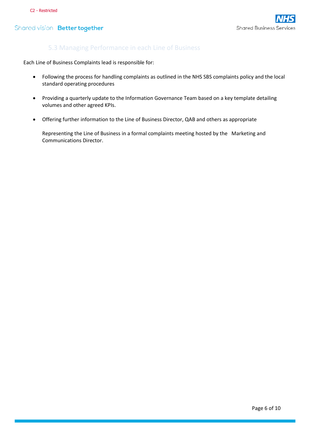#### 5.3 Managing Performance in each Line of Business

Each Line of Business Complaints lead is responsible for:

- Following the process for handling complaints as outlined in the NHS SBS complaints policy and the local standard operating procedures
- Providing a quarterly update to the Information Governance Team based on a key template detailing volumes and other agreed KPIs.
- Offering further information to the Line of Business Director, QAB and others as appropriate

Representing the Line of Business in a formal complaints meeting hosted by the Marketing and Communications Director.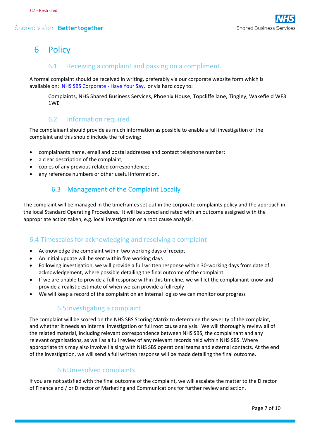## 6 Policy

#### 6.1 Receiving a complaint and passing on a compliment.

A formal complaint should be received in writing, preferably via our corporate website form which is available on: [NHS SBS Corporate -](https://www.sbs.nhs.uk/have-your-say) Have Your Say, or via hard copy to:

Complaints, NHS Shared Business Services, Phoenix House, Topcliffe lane, Tingley, Wakefield WF3 1WE

#### 6.2 Information required

The complainant should provide as much information as possible to enable a full investigation of the complaint and this should include the following:

- complainants name, email and postal addresses and contact telephone number;
- a clear description of the complaint;
- copies of any previous related correspondence;
- any reference numbers or other useful information.

#### 6.3 Management of the Complaint Locally

The complaint will be managed in the timeframes set out in the corporate complaints policy and the approach in the local Standard Operating Procedures. It will be scored and rated with an outcome assigned with the appropriate action taken, e.g. local investigation or a root cause analysis.

#### 6.4 Timescales for acknowledging and resolving a complaint

- Acknowledge the complaint within two working days ofreceipt
- An initial update will be sent within five working days
- Following investigation, we will provide a full written response within 30-working days from date of acknowledgement, where possible detailing the final outcome of the complaint
- If we are unable to provide a full response within this timeline, we will let the complainant know and provide a realistic estimate of when we can provide a fullreply
- We will keep a record of the complaint on an internal log so we can monitor our progress

#### 6.5Investigating a complaint

The complaint will be scored on the NHS SBS Scoring Matrix to determine the severity of the complaint, and whether it needs an internal investigation or full root cause analysis. We will thoroughly review all of the related material, including relevant correspondence between NHS SBS, the complainant and any relevant organisations, as well as a full review of any relevant records held within NHS SBS. Where appropriate this may also involve liaising with NHS SBS operational teams and external contacts. At the end of the investigation, we will send a full written response will be made detailing the final outcome.

#### 6.6Unresolved complaints

If you are not satisfied with the final outcome of the complaint, we will escalate the matter to the Director of Finance and / or Director of Marketing and Communications for further review and action.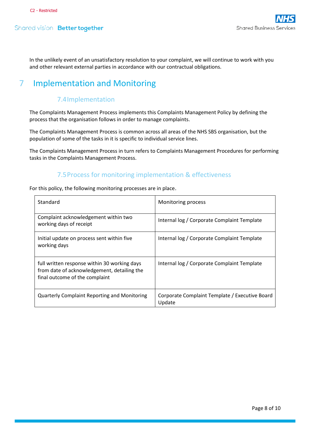In the unlikely event of an unsatisfactory resolution to your complaint, we will continue to work with you and other relevant external parties in accordance with our contractual obligations.

### 7 Implementation and Monitoring

#### 7.4Implementation

The Complaints Management Process implements this Complaints Management Policy by defining the process that the organisation follows in order to manage complaints.

The Complaints Management Process is common across all areas of the NHS SBS organisation, but the population of some of the tasks in it is specific to individual service lines.

The Complaints Management Process in turn refers to Complaints Management Procedures for performing tasks in the Complaints Management Process.

#### 7.5Process for monitoring implementation & effectiveness

| Standard                                                                                                                      | Monitoring process                                       |
|-------------------------------------------------------------------------------------------------------------------------------|----------------------------------------------------------|
| Complaint acknowledgement within two<br>working days of receipt                                                               | Internal log / Corporate Complaint Template              |
| Initial update on process sent within five<br>working days                                                                    | Internal log / Corporate Complaint Template              |
| full written response within 30 working days<br>from date of acknowledgement, detailing the<br>final outcome of the complaint | Internal log / Corporate Complaint Template              |
| <b>Quarterly Complaint Reporting and Monitoring</b>                                                                           | Corporate Complaint Template / Executive Board<br>Update |

For this policy, the following monitoring processes are in place.